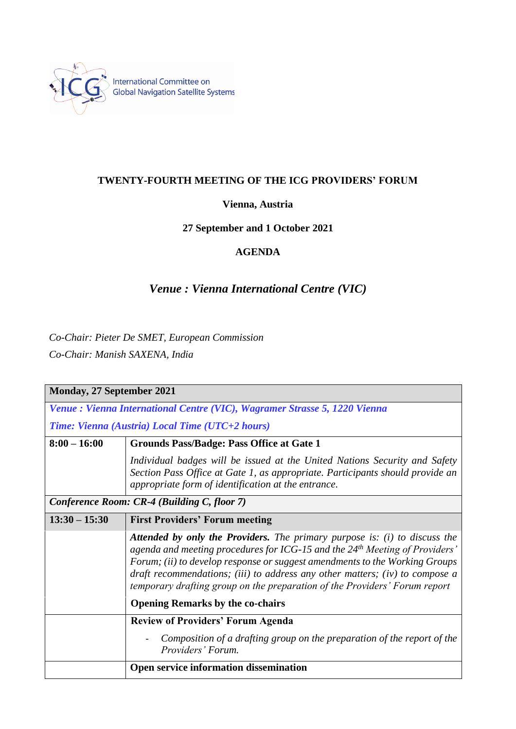

### **TWENTY-FOURTH MEETING OF THE ICG PROVIDERS' FORUM**

#### **Vienna, Austria**

## **27 September and 1 October 2021**

## **AGENDA**

# *Venue : Vienna International Centre (VIC)*

*Co-Chair: Pieter De SMET, European Commission Co-Chair: Manish SAXENA, India*

| <b>Monday, 27 September 2021</b>                                           |                                                                                                                                                                                                                                                                                                                                                                                                                           |  |
|----------------------------------------------------------------------------|---------------------------------------------------------------------------------------------------------------------------------------------------------------------------------------------------------------------------------------------------------------------------------------------------------------------------------------------------------------------------------------------------------------------------|--|
| Venue : Vienna International Centre (VIC), Wagramer Strasse 5, 1220 Vienna |                                                                                                                                                                                                                                                                                                                                                                                                                           |  |
| Time: Vienna (Austria) Local Time (UTC+2 hours)                            |                                                                                                                                                                                                                                                                                                                                                                                                                           |  |
| $8:00 - 16:00$                                                             | <b>Grounds Pass/Badge: Pass Office at Gate 1</b>                                                                                                                                                                                                                                                                                                                                                                          |  |
|                                                                            | Individual badges will be issued at the United Nations Security and Safety<br>Section Pass Office at Gate 1, as appropriate. Participants should provide an<br>appropriate form of identification at the entrance.                                                                                                                                                                                                        |  |
| Conference Room: CR-4 (Building C, floor 7)                                |                                                                                                                                                                                                                                                                                                                                                                                                                           |  |
| $13:30 - 15:30$                                                            | <b>First Providers' Forum meeting</b>                                                                                                                                                                                                                                                                                                                                                                                     |  |
|                                                                            | <b>Attended by only the Providers.</b> The primary purpose is: (i) to discuss the<br>agenda and meeting procedures for ICG-15 and the 24 <sup>th</sup> Meeting of Providers'<br>Forum; (ii) to develop response or suggest amendments to the Working Groups<br>draft recommendations; (iii) to address any other matters; (iv) to compose a<br>temporary drafting group on the preparation of the Providers' Forum report |  |
|                                                                            | <b>Opening Remarks by the co-chairs</b>                                                                                                                                                                                                                                                                                                                                                                                   |  |
|                                                                            | <b>Review of Providers' Forum Agenda</b>                                                                                                                                                                                                                                                                                                                                                                                  |  |
|                                                                            | Composition of a drafting group on the preparation of the report of the<br>Providers' Forum.                                                                                                                                                                                                                                                                                                                              |  |
|                                                                            | Open service information dissemination                                                                                                                                                                                                                                                                                                                                                                                    |  |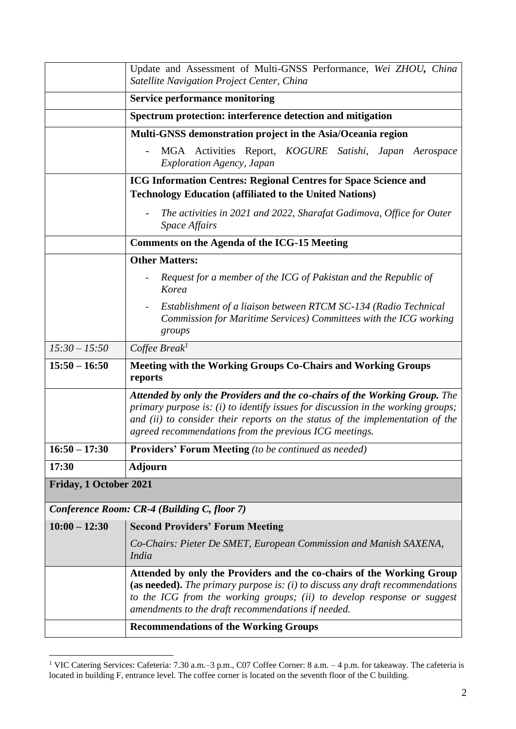|                        | Update and Assessment of Multi-GNSS Performance, Wei ZHOU, China<br>Satellite Navigation Project Center, China                                                                                                                                                                                              |
|------------------------|-------------------------------------------------------------------------------------------------------------------------------------------------------------------------------------------------------------------------------------------------------------------------------------------------------------|
|                        | <b>Service performance monitoring</b>                                                                                                                                                                                                                                                                       |
|                        | Spectrum protection: interference detection and mitigation                                                                                                                                                                                                                                                  |
|                        | Multi-GNSS demonstration project in the Asia/Oceania region                                                                                                                                                                                                                                                 |
|                        | MGA Activities Report, KOGURE Satishi, Japan Aerospace<br><b>Exploration Agency, Japan</b>                                                                                                                                                                                                                  |
|                        | <b>ICG Information Centres: Regional Centres for Space Science and</b><br><b>Technology Education (affiliated to the United Nations)</b>                                                                                                                                                                    |
|                        | The activities in 2021 and 2022, Sharafat Gadimova, Office for Outer<br><i>Space Affairs</i>                                                                                                                                                                                                                |
|                        | <b>Comments on the Agenda of the ICG-15 Meeting</b>                                                                                                                                                                                                                                                         |
|                        | <b>Other Matters:</b>                                                                                                                                                                                                                                                                                       |
|                        | Request for a member of the ICG of Pakistan and the Republic of<br>Korea                                                                                                                                                                                                                                    |
|                        | Establishment of a liaison between RTCM SC-134 (Radio Technical<br>Commission for Maritime Services) Committees with the ICG working<br>groups                                                                                                                                                              |
| $15:30 - 15:50$        | $Cof$ fee Break <sup>1</sup>                                                                                                                                                                                                                                                                                |
| $15:50 - 16:50$        | Meeting with the Working Groups Co-Chairs and Working Groups<br>reports                                                                                                                                                                                                                                     |
|                        | Attended by only the Providers and the co-chairs of the Working Group. The<br>primary purpose is: $(i)$ to identify issues for discussion in the working groups;<br>and (ii) to consider their reports on the status of the implementation of the<br>agreed recommendations from the previous ICG meetings. |
| $16:50 - 17:30$        | <b>Providers' Forum Meeting</b> (to be continued as needed)                                                                                                                                                                                                                                                 |
| 17:30                  | <b>Adjourn</b>                                                                                                                                                                                                                                                                                              |
| Friday, 1 October 2021 |                                                                                                                                                                                                                                                                                                             |
|                        | Conference Room: CR-4 (Building C, floor 7)                                                                                                                                                                                                                                                                 |
| $10:00 - 12:30$        | <b>Second Providers' Forum Meeting</b>                                                                                                                                                                                                                                                                      |
|                        | Co-Chairs: Pieter De SMET, European Commission and Manish SAXENA,<br>India                                                                                                                                                                                                                                  |
|                        | Attended by only the Providers and the co-chairs of the Working Group<br>(as needed). The primary purpose is: $(i)$ to discuss any draft recommendations<br>to the ICG from the working groups; (ii) to develop response or suggest<br>amendments to the draft recommendations if needed.                   |
|                        | <b>Recommendations of the Working Groups</b>                                                                                                                                                                                                                                                                |

<sup>&</sup>lt;sup>1</sup> VIC Catering Services: Cafeteria: 7.30 a.m.–3 p.m., C07 Coffee Corner: 8 a.m. – 4 p.m. for takeaway. The cafeteria is located in building F, entrance level. The coffee corner is located on the seventh floor of the C building.